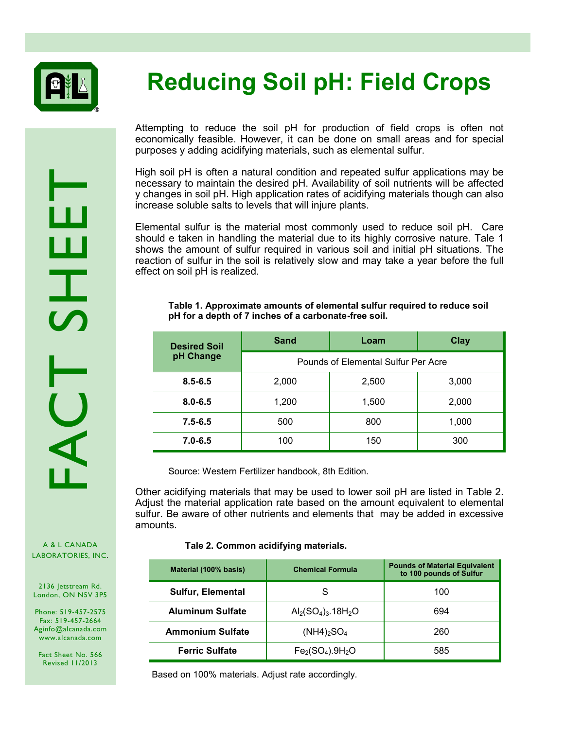

## **Reducing Soil pH: Field Crops**

RACANADA<br>LABORATORIES, INC.

Attempting to reduce the soil pH for production of field crops is often not economically feasible. However, it can be done on small areas and for special purposes y adding acidifying materials, such as elemental sulfur.

High soil pH is often a natural condition and repeated sulfur applications may be necessary to maintain the desired pH. Availability of soil nutrients will be affected y changes in soil pH. High application rates of acidifying materials though can also increase soluble salts to levels that will injure plants.

Elemental sulfur is the material most commonly used to reduce soil pH. Care should e taken in handling the material due to its highly corrosive nature. Tale 1 shows the amount of sulfur required in various soil and initial pH situations. The reaction of sulfur in the soil is relatively slow and may take a year before the full effect on soil pH is realized.

## **Table 1. Approximate amounts of elemental sulfur required to reduce soil pH for a depth of 7 inches of a carbonate-free soil.**

| <b>Desired Soil</b><br>pH Change | Sand                                | Loam  | Clay  |
|----------------------------------|-------------------------------------|-------|-------|
|                                  | Pounds of Elemental Sulfur Per Acre |       |       |
| $8.5 - 6.5$                      | 2,000                               | 2,500 | 3,000 |
| $8.0 - 6.5$                      | 1,200                               | 1,500 | 2,000 |
| $7.5 - 6.5$                      | 500                                 | 800   | 1,000 |
| $7.0 - 6.5$                      | 100                                 | 150   | 300   |

Source: Western Fertilizer handbook, 8th Edition.

Other acidifying materials that may be used to lower soil pH are listed in Table 2. Adjust the material application rate based on the amount equivalent to elemental sulfur. Be aware of other nutrients and elements that may be added in excessive amounts.

## **Tale 2. Common acidifying materials.**

| Material (100% basis)    | <b>Chemical Formula</b>         | <b>Pounds of Material Equivalent</b><br>to 100 pounds of Sulfur |
|--------------------------|---------------------------------|-----------------------------------------------------------------|
| <b>Sulfur, Elemental</b> | S                               | 100                                                             |
| <b>Aluminum Sulfate</b>  | $Al2(SO4)3$ .18H <sub>2</sub> O | 694                                                             |
| <b>Ammonium Sulfate</b>  | $(NH4)_{2}SO_{4}$               | 260                                                             |
| <b>Ferric Sulfate</b>    | $Fe2(SO4).9H2O$                 | 585                                                             |

Based on 100% materials. Adjust rate accordingly.

A & L CANADA

2136 Jetstream Rd. London, ON N5V 3P5

Phone: 519-457-2575 Fax: 519-457-2664 Aginfo@alcanada.com www.alcanada.com

Fact Sheet No. 566 Revised 11/2013